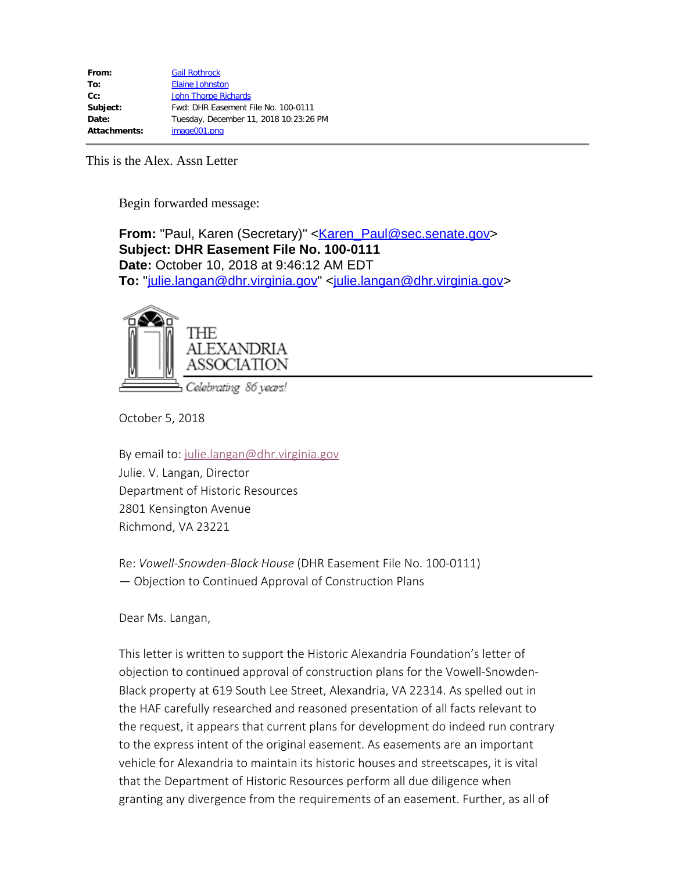**From:** "Paul, Karen (Secretary)" <**[Karen\\_Paul@sec.senate.gov](mailto:Karen_Paul@sec.senate.gov)> Subject: DHR Easement File No. 100-0111 Date:** October 10, 2018 at 9:46:12 AM EDT **To:** ["julie.langan@dhr.virginia.gov](mailto:julie.langan@dhr.virginia.gov)" <[julie.langan@dhr.virginia.gov](mailto:julie.langan@dhr.virginia.gov)>



October 5, 2018

By email to: [julie.langan@dhr.virginia.gov](mailto:julie.langan@dhr.virginia.gov) Julie. V. Langan, Director Department of Historic Resources 2801 Kensington Avenue Richmond, VA 23221

Re: *Vowell-Snowden-Black House* (DHR Easement File No. 100-0111) — Objection to Continued Approval of Construction Plans

Dear Ms. Langan,

This letter is written to support the Historic Alexandria Foundation's letter of objection to continued approval of construction plans for the Vowell-Snowden-Black property at 619 South Lee Street, Alexandria, VA 22314. As spelled out in the HAF carefully researched and reasoned presentation of all facts relevant to the request, it appears that current plans for development do indeed run contrary to the express intent of the original easement. As easements are an important vehicle for Alexandria to maintain its historic houses and streetscapes, it is vital that the Department of Historic Resources perform all due diligence when granting any divergence from the requirements of an easement. Further, as all of